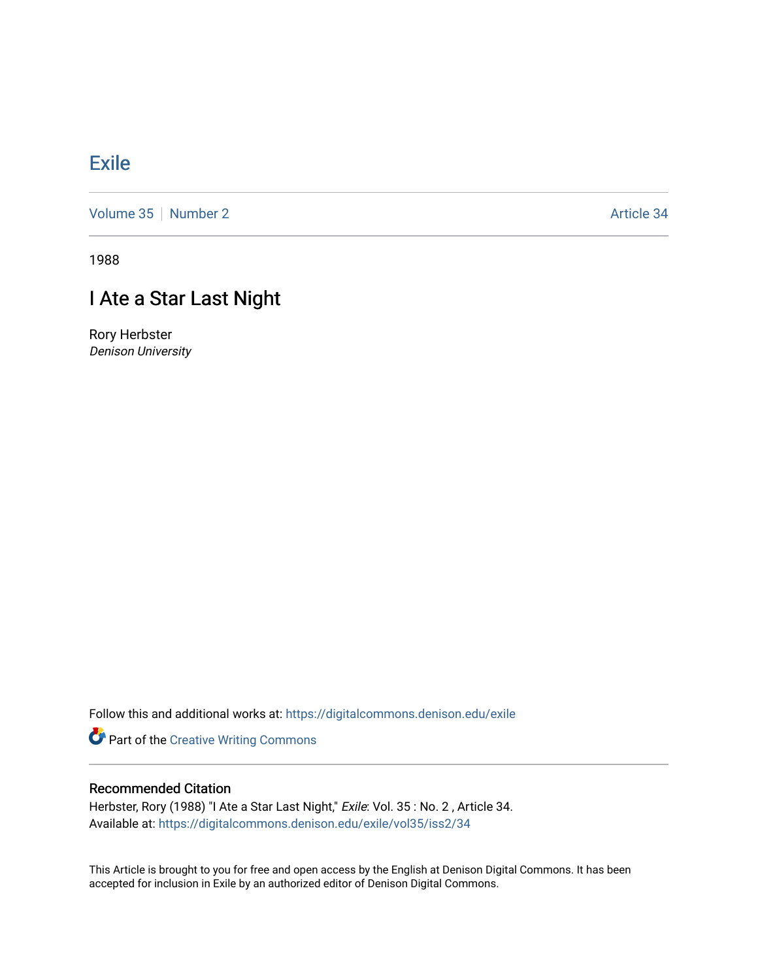## [Exile](https://digitalcommons.denison.edu/exile)

[Volume 35](https://digitalcommons.denison.edu/exile/vol35) [Number 2](https://digitalcommons.denison.edu/exile/vol35/iss2) Article 34

1988

## I Ate a Star Last Night

Rory Herbster Denison University

Follow this and additional works at: [https://digitalcommons.denison.edu/exile](https://digitalcommons.denison.edu/exile?utm_source=digitalcommons.denison.edu%2Fexile%2Fvol35%2Fiss2%2F34&utm_medium=PDF&utm_campaign=PDFCoverPages) 

Part of the [Creative Writing Commons](http://network.bepress.com/hgg/discipline/574?utm_source=digitalcommons.denison.edu%2Fexile%2Fvol35%2Fiss2%2F34&utm_medium=PDF&utm_campaign=PDFCoverPages) 

## Recommended Citation

Herbster, Rory (1988) "I Ate a Star Last Night," Exile: Vol. 35 : No. 2 , Article 34. Available at: [https://digitalcommons.denison.edu/exile/vol35/iss2/34](https://digitalcommons.denison.edu/exile/vol35/iss2/34?utm_source=digitalcommons.denison.edu%2Fexile%2Fvol35%2Fiss2%2F34&utm_medium=PDF&utm_campaign=PDFCoverPages)

This Article is brought to you for free and open access by the English at Denison Digital Commons. It has been accepted for inclusion in Exile by an authorized editor of Denison Digital Commons.